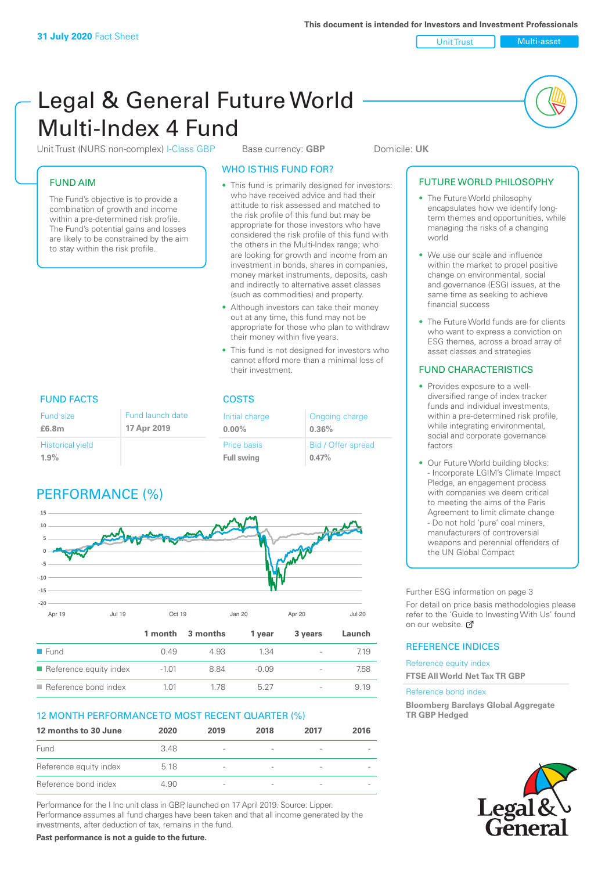Unit Trust Multi-asset

# Legal & General Future World Multi-Index 4 Fund

Unit Trust (NURS non-complex) I-Class GBP Base currency: **GBP** Domicile: UK

# FUND AIM

The Fund's objective is to provide a combination of growth and income within a pre-determined risk profile. The Fund's potential gains and losses are likely to be constrained by the aim to stay within the risk profile.

## WHO IS THIS FUND FOR?

- This fund is primarily designed for investors: who have received advice and had their attitude to risk assessed and matched to the risk profile of this fund but may be appropriate for those investors who have considered the risk profile of this fund with the others in the Multi-Index range; who are looking for growth and income from an investment in bonds, shares in companies, money market instruments, deposits, cash and indirectly to alternative asset classes (such as commodities) and property.
- Although investors can take their money out at any time, this fund may not be appropriate for those who plan to withdraw their money within five years.
- This fund is not designed for investors who cannot afford more than a minimal loss of their investment.

Ongoing charge

Bid / Offer spread

**0.36%**

**0.47%**

| <b>FUND FACTS</b>                                     |  | <b>COSTS</b>                     |  |
|-------------------------------------------------------|--|----------------------------------|--|
| Fund launch date<br>Fund size<br>17 Apr 2019<br>£6.8m |  | Initial charge<br>$0.00\%$       |  |
| <b>Historical yield</b><br>$1.9\%$                    |  | Price basis<br><b>Full swing</b> |  |

# PERFORMANCE (%)



# 12 MONTH PERFORMANCE TO MOST RECENT QUARTER (%)

| 12 months to 30 June   | 2020 | 2019                     | 2018                     | 2017 | 2016 |
|------------------------|------|--------------------------|--------------------------|------|------|
| Fund                   | 348  | $\overline{\phantom{0}}$ |                          |      |      |
| Reference equity index | 5.18 | $\overline{\phantom{a}}$ | $\overline{\phantom{a}}$ |      |      |
| Reference bond index   | 4.90 | $\overline{\phantom{a}}$ | $\qquad \qquad$          |      |      |

Reference bond index  $1.01$   $1.78$   $5.27$   $9.19$ 

Performance for the I Inc unit class in GBP, launched on 17 April 2019. Source: Lipper. Performance assumes all fund charges have been taken and that all income generated by the investments, after deduction of tax, remains in the fund.

**Past performance is not a guide to the future.**

# FUTURE WORLD PHILOSOPHY • The Future World philosophy

- encapsulates how we identify longterm themes and opportunities, while managing the risks of a changing world
- We use our scale and influence within the market to propel positive change on environmental, social and governance (ESG) issues, at the same time as seeking to achieve financial success
- The Future World funds are for clients who want to express a conviction on ESG themes, across a broad array of asset classes and strategies

# FUND CHARACTERISTICS

- Provides exposure to a welldiversified range of index tracker funds and individual investments, within a pre-determined risk profile while integrating environmental, social and corporate governance factors
- Our Future World building blocks: - Incorporate LGIM's Climate Impact Pledge, an engagement process with companies we deem critical to meeting the aims of the Paris Agreement to limit climate change - Do not hold 'pure' coal miners, manufacturers of controversial weapons and perennial offenders of the UN Global Compact

Further ESG information on page 3

For detail on price basis methodologies please refer to the 'Gu[ide t](http://www.legalandgeneral.com/guide)o Investing With Us' found on our website.  $\mathbb{Z}$ 

## REFERENCE INDICES

Reference equity index **FTSE All World Net Tax TR GBP**

Reference bond index

**Bloomberg Barclays Global Aggregate TR GBP Hedged**

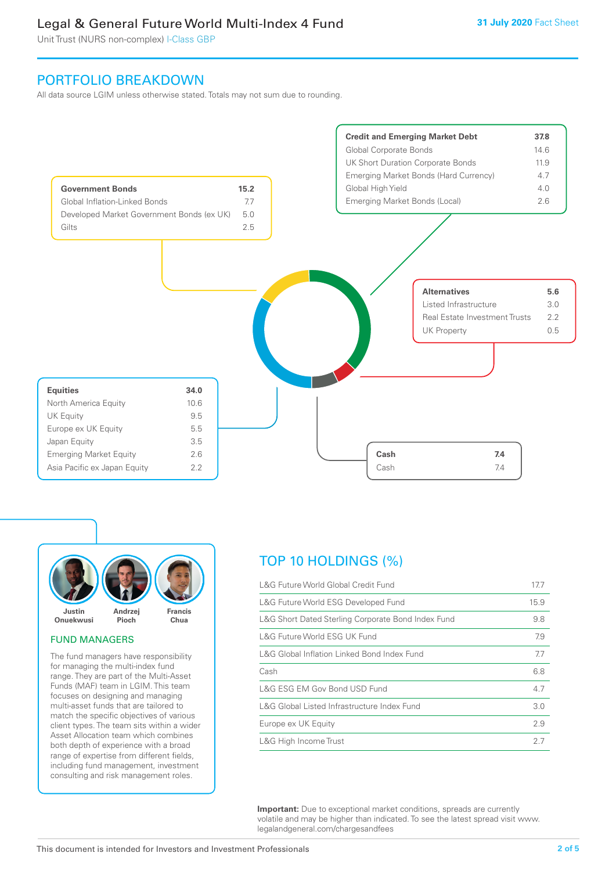# Legal & General Future World Multi-Index 4 Fund

Unit Trust (NURS non-complex) I-Class GBP

# PORTFOLIO BREAKDOWN

All data source LGIM unless otherwise stated. Totals may not sum due to rounding.





#### FUND MANAGERS

The fund managers have responsibility for managing the multi-index fund range. They are part of the Multi-Asset Funds (MAF) team in LGIM. This team focuses on designing and managing multi-asset funds that are tailored to match the specific objectives of various client types. The team sits within a wider Asset Allocation team which combines both depth of experience with a broad range of expertise from different fields, including fund management, investment consulting and risk management roles.

# TOP 10 HOLDINGS (%)

| L&G Future World Global Credit Fund                | 17.7 |
|----------------------------------------------------|------|
| L&G Future World ESG Developed Fund                | 15.9 |
| L&G Short Dated Sterling Corporate Bond Index Fund | 9.8  |
| L&G Future World ESG UK Fund                       | 7.9  |
| L&G Global Inflation Linked Bond Index Fund        | 7.7  |
| Cash                                               | 6.8  |
| L&G ESG EM Gov Bond USD Fund                       | 4.7  |
| L&G Global Listed Infrastructure Index Fund        |      |
| Europe ex UK Equity                                | 2.9  |
| L&G High Income Trust                              | 2.7  |

**Important:** Due to exceptional market conditions, spreads are currently volatile and may be higher than indicated. To see the latest spread visit www. legalandgeneral.com/chargesandfees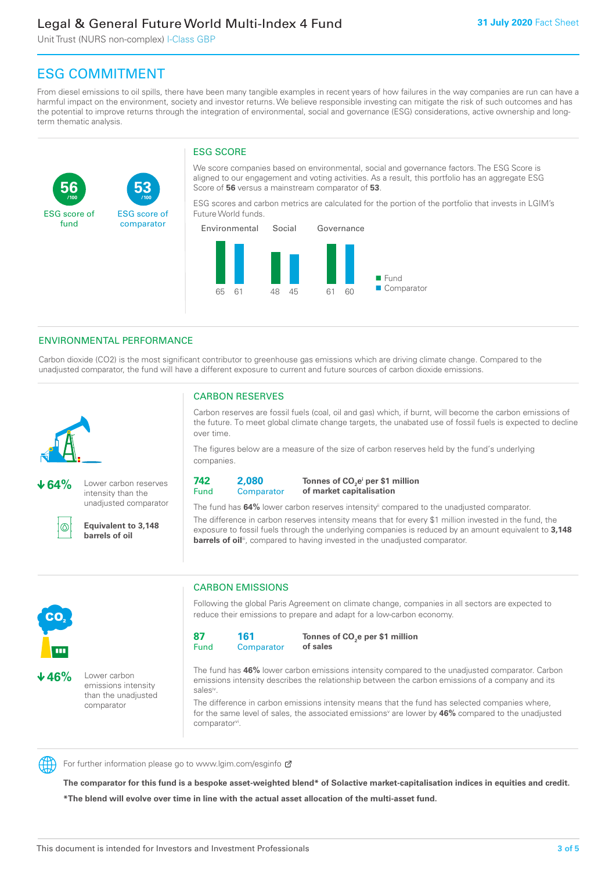# Legal & General Future World Multi-Index 4 Fund

Unit Trust (NURS non-complex) I-Class GBP

**53**

ESG score of comparator

# ESG COMMITMENT

**/100 /100**

From diesel emissions to oil spills, there have been many tangible examples in recent years of how failures in the way companies are run can have a harmful impact on the environment, society and investor returns. We believe responsible investing can mitigate the risk of such outcomes and has the potential to improve returns through the integration of environmental, social and governance (ESG) considerations, active ownership and longterm thematic analysis.

# ESG SCORE

We score companies based on environmental, social and governance factors. The ESG Score is aligned to our engagement and voting activities. As a result, this portfolio has an aggregate ESG Score of **56** versus a mainstream comparator of **53**.

ESG scores and carbon metrics are calculated for the portion of the portfolio that invests in LGIM's Future World funds.



# ENVIRONMENTAL PERFORMANCE

Carbon dioxide (CO2) is the most significant contributor to greenhouse gas emissions which are driving climate change. Compared to the unadjusted comparator, the fund will have a different exposure to current and future sources of carbon dioxide emissions.



൹

**56**

ESG score of fund

**64%** Lower carbon reserves intensity than the

unadjusted comparator

**Equivalent to 3,148 barrels of oil**

# CARBON RESERVES

Carbon reserves are fossil fuels (coal, oil and gas) which, if burnt, will become the carbon emissions of the future. To meet global climate change targets, the unabated use of fossil fuels is expected to decline over time.

The figures below are a measure of the size of carbon reserves held by the fund's underlying companies.

**742** Fund **2,080 Comparator** 

**Tonnes of CO2 ei per \$1 million of market capitalisation**

The fund has **64%** lower carbon reserves intensityii compared to the unadjusted comparator. The difference in carbon reserves intensity means that for every \$1 million invested in the fund, the exposure to fossil fuels through the underlying companies is reduced by an amount equivalent to **3,148 barrels of oil**<sup>iii</sup>, compared to having invested in the unadjusted comparator.



Following the global Paris Agreement on climate change, companies in all sectors are expected to reduce their emissions to prepare and adapt for a low-carbon economy.



**Tonnes of CO2 e per \$1 million of sales**

The fund has **46%** lower carbon emissions intensity compared to the unadjusted comparator. Carbon emissions intensity describes the relationship between the carbon emissions of a company and its salesiv

The difference in carbon emissions intensity means that the fund has selected companies where, for the same level of sales, the associated emissions<sup>v</sup> are lower by 46% compared to the unadjusted comparator<sup>vi</sup>.



CO<sub>2</sub>

**46%** Lower carbon

emissions intensity than the unadjusted comparator

For further information please go to www.lgim.com/esginfo Ø

**The comparator for this fund is a bespoke asset-weighted blend\* of Solactive market-capitalisation indices in equities and credit. \*The blend will evolve over time in line with the actual asset allocation of the multi-asset fund.**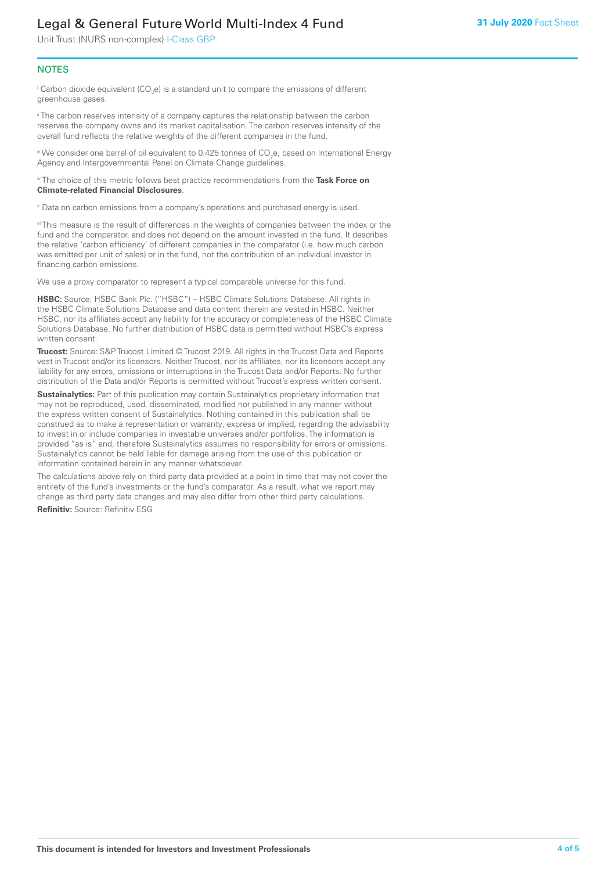# Legal & General Future World Multi-Index 4 Fund

Unit Trust (NURS non-complex) I-Class GBP

#### **NOTES**

 $^\mathrm{i}$  Carbon dioxide equivalent (CO<sub>2</sub>e) is a standard unit to compare the emissions of different greenhouse gases.

<sup>ii</sup> The carbon reserves intensity of a company captures the relationship between the carbon reserves the company owns and its market capitalisation. The carbon reserves intensity of the overall fund reflects the relative weights of the different companies in the fund.

iii We consider one barrel of oil equivalent to 0.425 tonnes of CO<sub>2</sub>e, based on International Energy Agency and Intergovernmental Panel on Climate Change guidelines.

#### iv The choice of this metric follows best practice recommendations from the **Task Force on Climate-related Financial Disclosures**.

v Data on carbon emissions from a company's operations and purchased energy is used.

vi This measure is the result of differences in the weights of companies between the index or the fund and the comparator, and does not depend on the amount invested in the fund. It describes the relative 'carbon efficiency' of different companies in the comparator (i.e. how much carbon was emitted per unit of sales) or in the fund, not the contribution of an individual investor in financing carbon emissions.

We use a proxy comparator to represent a typical comparable universe for this fund.

**HSBC:** Source: HSBC Bank Plc. ("HSBC") – HSBC Climate Solutions Database. All rights in the HSBC Climate Solutions Database and data content therein are vested in HSBC. Neither HSBC, nor its affiliates accept any liability for the accuracy or completeness of the HSBC Climate Solutions Database. No further distribution of HSBC data is permitted without HSBC's express written consent.

**Trucost:** Source: S&P Trucost Limited © Trucost 2019. All rights in the Trucost Data and Reports vest in Trucost and/or its licensors. Neither Trucost, nor its affiliates, nor its licensors accept any liability for any errors, omissions or interruptions in the Trucost Data and/or Reports. No further distribution of the Data and/or Reports is permitted without Trucost's express written consent.

**Sustainalytics:** Part of this publication may contain Sustainalytics proprietary information that may not be reproduced, used, disseminated, modified nor published in any manner without the express written consent of Sustainalytics. Nothing contained in this publication shall be construed as to make a representation or warranty, express or implied, regarding the advisability to invest in or include companies in investable universes and/or portfolios. The information is provided "as is" and, therefore Sustainalytics assumes no responsibility for errors or omissions. Sustainalytics cannot be held liable for damage arising from the use of this publication or information contained herein in any manner whatsoever.

The calculations above rely on third party data provided at a point in time that may not cover the entirety of the fund's investments or the fund's comparator. As a result, what we report may change as third party data changes and may also differ from other third party calculations.

**Refinitiv:** Source: Refinitiv ESG